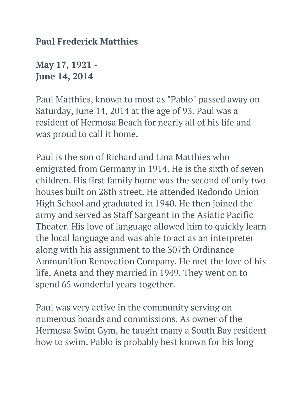**Paul Frederick Matthies**

**May 17, 1921 - June 14, 2014**

Paul Matthies, known to most as "Pablo" passed away on Saturday, June 14, 2014 at the age of 93. Paul was a resident of Hermosa Beach for nearly all of his life and was proud to call it home.

Paul is the son of Richard and Lina Matthies who emigrated from Germany in 1914. He is the sixth of seven children. His first family home was the second of only two houses built on 28th street. He attended Redondo Union High School and graduated in 1940. He then joined the army and served as Staff Sargeant in the Asiatic Pacific Theater. His love of language allowed him to quickly learn the local language and was able to act as an interpreter along with his assignment to the 307th Ordinance Ammunition Renovation Company. He met the love of his life, Aneta and they married in 1949. They went on to spend 65 wonderful years together.

Paul was very active in the community serving on numerous boards and commissions. As owner of the Hermosa Swim Gym, he taught many a South Bay resident how to swim. Pablo is probably best known for his long